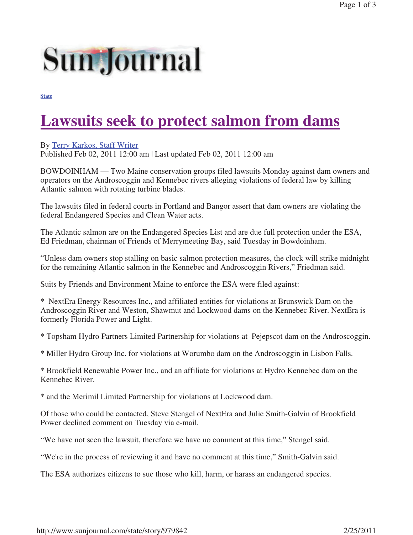## **Sun Journal**

**State**

## **Lawsuits seek to protect salmon from dams**

## By Terry Karkos, Staff Writer

Published Feb 02, 2011 12:00 am | Last updated Feb 02, 2011 12:00 am

BOWDOINHAM — Two Maine conservation groups filed lawsuits Monday against dam owners and operators on the Androscoggin and Kennebec rivers alleging violations of federal law by killing Atlantic salmon with rotating turbine blades.

The lawsuits filed in federal courts in Portland and Bangor assert that dam owners are violating the federal Endangered Species and Clean Water acts.

The Atlantic salmon are on the Endangered Species List and are due full protection under the ESA, Ed Friedman, chairman of Friends of Merrymeeting Bay, said Tuesday in Bowdoinham.

"Unless dam owners stop stalling on basic salmon protection measures, the clock will strike midnight for the remaining Atlantic salmon in the Kennebec and Androscoggin Rivers," Friedman said.

Suits by Friends and Environment Maine to enforce the ESA were filed against:

\* NextEra Energy Resources Inc., and affiliated entities for violations at Brunswick Dam on the Androscoggin River and Weston, Shawmut and Lockwood dams on the Kennebec River. NextEra is formerly Florida Power and Light.

\* Topsham Hydro Partners Limited Partnership for violations at Pejepscot dam on the Androscoggin.

\* Miller Hydro Group Inc. for violations at Worumbo dam on the Androscoggin in Lisbon Falls.

\* Brookfield Renewable Power Inc., and an affiliate for violations at Hydro Kennebec dam on the Kennebec River.

\* and the Merimil Limited Partnership for violations at Lockwood dam.

Of those who could be contacted, Steve Stengel of NextEra and Julie Smith-Galvin of Brookfield Power declined comment on Tuesday via e-mail.

"We have not seen the lawsuit, therefore we have no comment at this time," Stengel said.

"We're in the process of reviewing it and have no comment at this time," Smith-Galvin said.

The ESA authorizes citizens to sue those who kill, harm, or harass an endangered species.